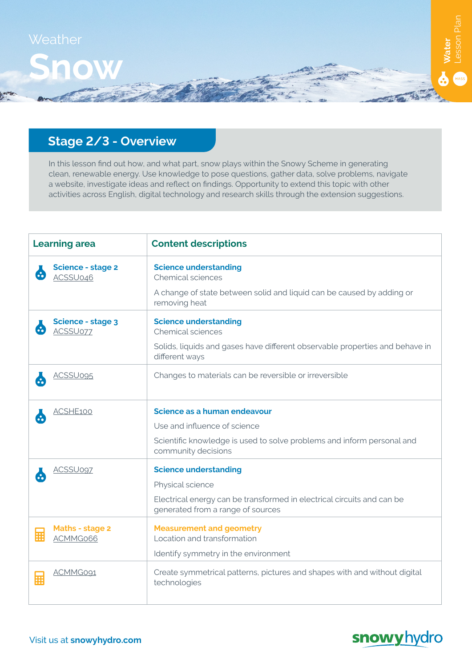

# **Stage 2/3 - Overview**

In this lesson find out how, and what part, snow plays within the Snowy Scheme in generating clean, renewable energy. Use knowledge to pose questions, gather data, solve problems, navigate a website, investigate ideas and reflect on findings. Opportunity to extend this topic with other activities across English, digital technology and research skills through the extension suggestions.

| <b>Learning area</b>                              | <b>Content descriptions</b>                                                                                 |
|---------------------------------------------------|-------------------------------------------------------------------------------------------------------------|
| <b>Science - stage 2</b><br>$\bullet$<br>ACSSU046 | <b>Science understanding</b><br>Chemical sciences                                                           |
|                                                   | A change of state between solid and liquid can be caused by adding or<br>removing heat                      |
| <b>Science - stage 3</b><br>ACSSU077              | <b>Science understanding</b><br>Chemical sciences                                                           |
|                                                   | Solids, liquids and gases have different observable properties and behave in<br>different ways              |
| ACSSU095                                          | Changes to materials can be reversible or irreversible                                                      |
| ACSHE100                                          | Science as a human endeavour                                                                                |
|                                                   | Use and influence of science                                                                                |
|                                                   | Scientific knowledge is used to solve problems and inform personal and<br>community decisions               |
| <b>ACSSU097</b>                                   | <b>Science understanding</b>                                                                                |
|                                                   | Physical science                                                                                            |
|                                                   | Electrical energy can be transformed in electrical circuits and can be<br>generated from a range of sources |
| <b>Maths - stage 2</b><br>麗<br>ACMMG066           | <b>Measurement and geometry</b><br>Location and transformation                                              |
|                                                   | Identify symmetry in the environment                                                                        |
| ACMMG091<br>翮                                     | Create symmetrical patterns, pictures and shapes with and without digital<br>technologies                   |

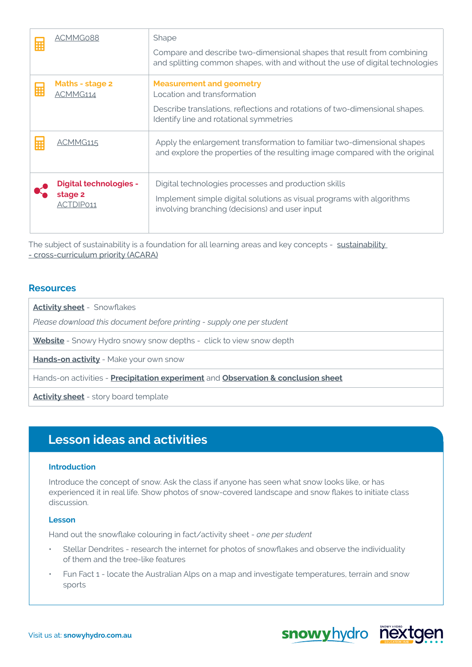| m | ACMMG088                                              | Shape<br>Compare and describe two-dimensional shapes that result from combining<br>and splitting common shapes, with and without the use of digital technologies                         |
|---|-------------------------------------------------------|------------------------------------------------------------------------------------------------------------------------------------------------------------------------------------------|
| 匾 | Maths - stage 2<br>ACMMG114                           | <b>Measurement and geometry</b><br>Location and transformation<br>Describe translations, reflections and rotations of two-dimensional shapes.<br>Identify line and rotational symmetries |
| 圜 | ACMMG115                                              | Apply the enlargement transformation to familiar two-dimensional shapes<br>and explore the properties of the resulting image compared with the original                                  |
|   | <b>Digital technologies -</b><br>stage 2<br>ACTDIP011 | Digital technologies processes and production skills<br>Implement simple digital solutions as visual programs with algorithms<br>involving branching (decisions) and user input          |

The subject of [sustainability](https://www.australiancurriculum.edu.au/f-10-curriculum/cross-curriculum-priorities/sustainability/) is a foundation for all learning areas and key concepts - sustainability [- cross-curriculum priority \(ACARA\)](https://www.australiancurriculum.edu.au/f-10-curriculum/cross-curriculum-priorities/sustainability/)

### **Resources**

**[Activity sheet](https://www.snowyhydro.com.au/wp-content/uploads/2020/09/Water-of-the-Snowy-Scheme_Snow-colouring-in-info-page_Activity-sheet-4_NOV20.pdf)** - Snowflakes

*Please download this document before printing - supply one per student*

**[Website](https://www.snowyhydro.com.au)** - Snowy Hydro snowy snow depths - click to view snow depth

**[Hands-on activity](https://www.snowyhydro.com.au/wp-content/uploads/2020/09/Water-of-the-Snowy-Scheme_Make-your-own-snow_Hands-on-1_NOV2020.pdf)** - Make your own snow

Hands-on activities - **[Precipitation experiment](https://www.snowyhydro.com.au/wp-content/uploads/2020/09/The-Snowy-Scheme-water-cycle_Precipitation_Hands-on-3_JUN21.pdf)** and **[Observation & conclusion sheet](https://www.snowyhydro.com.au/wp-content/uploads/2020/09/Generic_Observation-and-conclusion-sheet_JAN21.pdf)**

**[Activity sheet](https://www.snowyhydro.com.au/wp-content/uploads/2020/09/Generic_Storyboard-worksheet_NOV20.pdf)** - story board template

## **Lesson ideas and activities**

#### **Introduction**

Introduce the concept of snow. Ask the class if anyone has seen what snow looks like, or has experienced it in real life. Show photos of snow-covered landscape and snow flakes to initiate class discussion.

#### **Lesson**

Hand out the snowflake colouring in fact/activity sheet - *one per student*

- Stellar Dendrites research the internet for photos of snowflakes and observe the individuality of them and the tree-like features
- Fun Fact 1 locate the Australian Alps on a map and investigate temperatures, terrain and snow sports